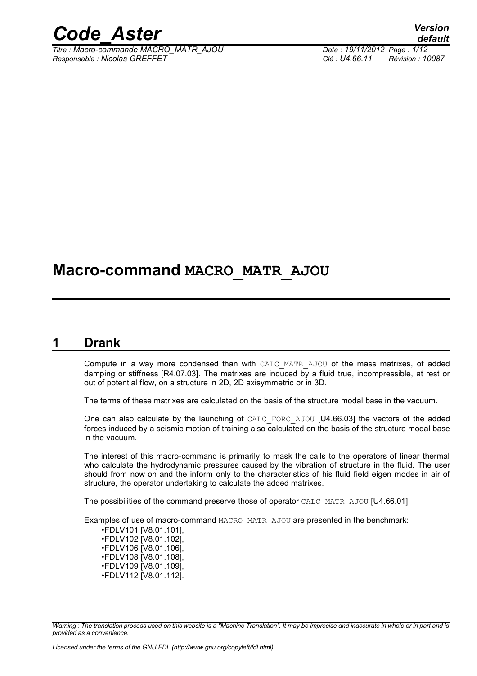

*Titre : Macro-commande MACRO\_MATR\_AJOU Date : 19/11/2012 Page : 1/12 Responsable : Nicolas GREFFET Clé : U4.66.11 Révision : 10087*

# **Macro-command MACRO\_MATR\_AJOU**

# **1 Drank**

Compute in a way more condensed than with CALC\_MATR\_AJOU of the mass matrixes, of added damping or stiffness [R4.07.03]. The matrixes are induced by a fluid true, incompressible, at rest or out of potential flow, on a structure in 2D, 2D axisymmetric or in 3D.

The terms of these matrixes are calculated on the basis of the structure modal base in the vacuum.

One can also calculate by the launching of CALC\_FORC\_AJOU [U4.66.03] the vectors of the added forces induced by a seismic motion of training also calculated on the basis of the structure modal base in the vacuum.

The interest of this macro-command is primarily to mask the calls to the operators of linear thermal who calculate the hydrodynamic pressures caused by the vibration of structure in the fluid. The user should from now on and the inform only to the characteristics of his fluid field eigen modes in air of structure, the operator undertaking to calculate the added matrixes.

The possibilities of the command preserve those of operator CALC\_MATR\_AJOU [U4.66.01].

Examples of use of macro-command MACRO\_MATR\_AJOU are presented in the benchmark:

•FDLV101 [V8.01.101], •FDLV102 [V8.01.102], •FDLV106 [V8.01.106], •FDLV108 [V8.01.108], •FDLV109 [V8.01.109], •FDLV112 [V8.01.112].

*Warning : The translation process used on this website is a "Machine Translation". It may be imprecise and inaccurate in whole or in part and is provided as a convenience.*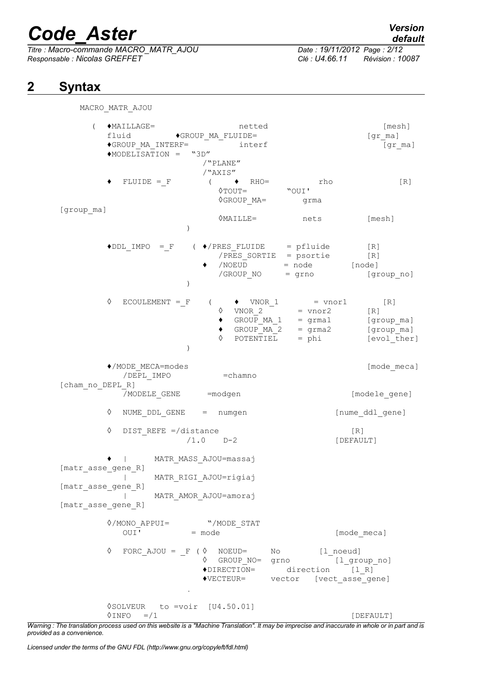*Titre : Macro-commande MACRO\_MATR\_AJOU Date : 19/11/2012 Page : 2/12 Responsable : Nicolas GREFFET Clé : U4.66.11 Révision : 10087*

# *default*

# **2 Syntax**

MACRO\_MATR\_AJOU ( ♦MAILLAGE= netted [mesh] fluid  $\bullet$ GROUP MA FLUIDE= [gr\_ma]  $\bullet$ GROUP MA INTERF=  $\qquad \qquad$  interf  $\qquad \qquad$  [gr\_ma] ♦MODELISATION = "3D" /"PLANE" /"AXIS"  $FLUIDE = \_F$  (  $\bullet$  RHO= rho [R]  $\Diamond$  TOUT= ◊GROUP\_MA= grma [group\_ma] ◊MAILLE= nets [mesh] )  $\triangleleft$ DDL IMPO = F (  $\triangleleft$ /PRES FLUIDE = pfluide [R] /PRES SORTIE = psortie [R] /NOEUD = node [node]<br>/GROUP NO = qrno [gr /GROUP NO = grno [group no] )  $\Diamond$  ECOULEMENT = F (  $\Diamond$  VNOR 1 = vnor1 [R]  $\sqrt[6]{}$  VNOR\_2 = vnor2 [R]<br>  $\bullet$  GROUP MA 1 = grma1 [gro  $\bullet$  GROUP\_MA\_1 = grma1 [group\_ma]  $\bullet$  GROUP MA 2 = grma2 [group\_ma]  $\Diamond$  POTENTIEL = phi [evol ther] ) ♦/MODE\_MECA=modes [mode\_meca] /DEPL IMPO = chamno [cham\_no\_DEPL\_R] /MODELE GENE = modgen = = [modele gene] ◊ NUME\_DDL\_GENE = numgen [nume\_ddl\_gene] ◊ DIST\_REFE =/distance [R] /1.0 D-2 [DEFAULT] ♦ | MATR\_MASS\_AJOU=massaj [matr asse gene R] | MATR\_RIGI\_AJOU=rigiaj [matr\_asse\_gene\_R] | MATR\_AMOR\_AJOU=amoraj [matr asse\_gene\_R] ◊/MONO\_APPUI= "/MODE\_STAT  $OUT' = mode$  = mode = [mode meca] ◊ FORC\_AJOU = \_F ( ◊ NOEUD= No [l\_noeud] ◊ GROUP\_NO= grno [l\_group\_no]  $\bigcirc$ DIRECTION= direction  $\bigcirc$  [1 R] ♦VECTEUR= vector [vect\_asse\_gene]  $\ddot{\phantom{a}}$ ◊SOLVEUR to =voir [U4.50.01]  $\Diamond$ INFO =/1 [DEFAULT]

*Warning : The translation process used on this website is a "Machine Translation". It may be imprecise and inaccurate in whole or in part and is provided as a convenience.*

*Licensed under the terms of the GNU FDL (http://www.gnu.org/copyleft/fdl.html)*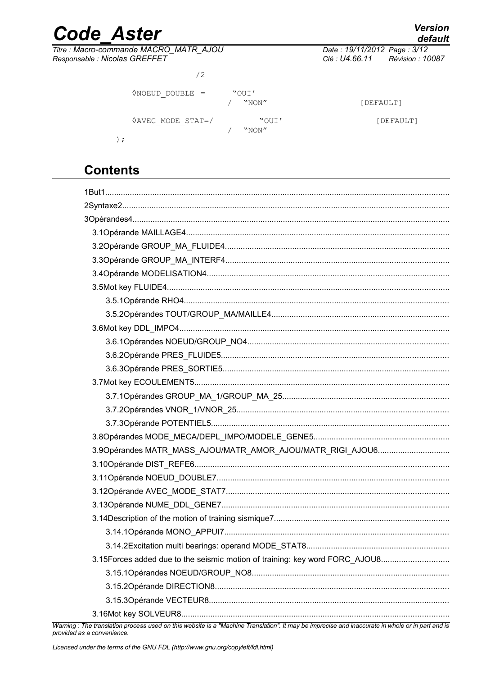# **Code Aster**

Titre : Macro-commande MACRO\_MATR\_AJOU Responsable : Nicolas GREFFET

Date: 19/11/2012 Page: 3/12 Clé : U4.66.11 Révision : 10087

| ′2                          |                |           |
|-----------------------------|----------------|-----------|
| $ONOEUD DOUBLE =$           | "OUI'<br>"NON" | [DEFAULT] |
| $\Diamond AVEC MODE STATE/$ | "OUI'<br>"NON" | [DEFAULT] |

# **Contents**

 $\left( \right)$ 

| 3.90pérandes MATR_MASS_AJOU/MATR_AMOR_AJOU/MATR_RIGI_AJOU6                  |
|-----------------------------------------------------------------------------|
|                                                                             |
|                                                                             |
|                                                                             |
|                                                                             |
|                                                                             |
|                                                                             |
|                                                                             |
| 3.15Forces added due to the seismic motion of training: key word FORC_AJOU8 |
|                                                                             |
|                                                                             |
|                                                                             |
|                                                                             |
|                                                                             |

#### Warning : The translation process used on this website is a "Machine Translation". It may be imprecise and inaccurate in whole or in part and is provided as a convenience.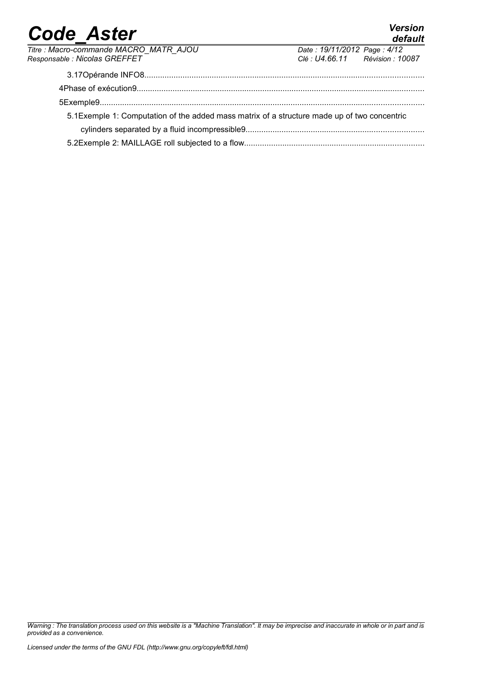*default*

| Titre : Macro-commande MACRO_MATR_AJOU                                                       | Date: 19/11/2012 Page: 4/12     |  |
|----------------------------------------------------------------------------------------------|---------------------------------|--|
| Responsable : Nicolas GREFFET                                                                | Clé : U4.66.11 Révision : 10087 |  |
|                                                                                              |                                 |  |
|                                                                                              |                                 |  |
|                                                                                              |                                 |  |
| 5.1 Exemple 1: Computation of the added mass matrix of a structure made up of two concentric |                                 |  |
|                                                                                              |                                 |  |
|                                                                                              |                                 |  |

*Warning : The translation process used on this website is a "Machine Translation". It may be imprecise and inaccurate in whole or in part and is provided as a convenience.*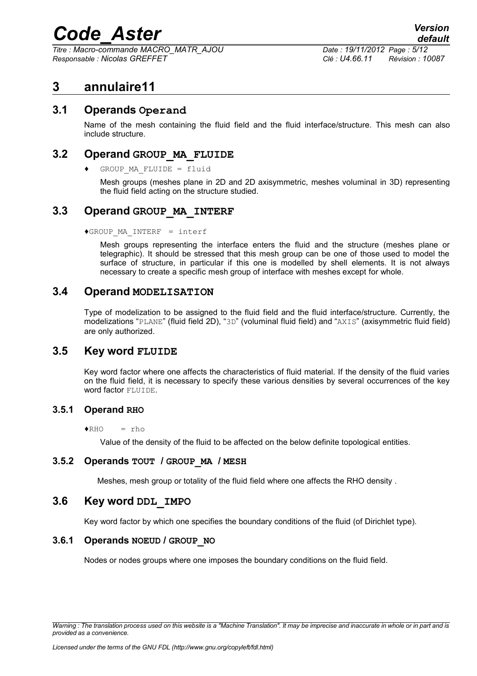*Titre : Macro-commande MACRO\_MATR\_AJOU Date : 19/11/2012 Page : 5/12 Responsable : Nicolas GREFFET Clé : U4.66.11 Révision : 10087*

# **3 annulaire11**

### **3.1 Operands Operand**

Name of the mesh containing the fluid field and the fluid interface/structure. This mesh can also include structure.

### **3.2 Operand GROUP\_MA\_FLUIDE**

 $GROUP$  MA FLUIDE = fluid

Mesh groups (meshes plane in 2D and 2D axisymmetric, meshes voluminal in 3D) representing the fluid field acting on the structure studied.

### **3.3 Operand GROUP\_MA\_INTERF**

♦GROUP\_MA\_INTERF = interf

Mesh groups representing the interface enters the fluid and the structure (meshes plane or telegraphic). It should be stressed that this mesh group can be one of those used to model the surface of structure, in particular if this one is modelled by shell elements. It is not always necessary to create a specific mesh group of interface with meshes except for whole.

### **3.4 Operand MODELISATION**

Type of modelization to be assigned to the fluid field and the fluid interface/structure. Currently, the modelizations "PLANE" (fluid field 2D), "3D" (voluminal fluid field) and "AXIS" (axisymmetric fluid field) are only authorized.

### **3.5 Key word FLUIDE**

Key word factor where one affects the characteristics of fluid material. If the density of the fluid varies on the fluid field, it is necessary to specify these various densities by several occurrences of the key word factor FLUIDE.

#### **3.5.1 Operand RHO**

 $\triangle$ RHO = rho

Value of the density of the fluid to be affected on the below definite topological entities.

#### **3.5.2 Operands TOUT / GROUP\_MA / MESH**

Meshes, mesh group or totality of the fluid field where one affects the RHO density .

### **3.6 Key word DDL\_IMPO**

Key word factor by which one specifies the boundary conditions of the fluid (of Dirichlet type).

#### **3.6.1 Operands NOEUD / GROUP\_NO**

Nodes or nodes groups where one imposes the boundary conditions on the fluid field.

*Warning : The translation process used on this website is a "Machine Translation". It may be imprecise and inaccurate in whole or in part and is provided as a convenience.*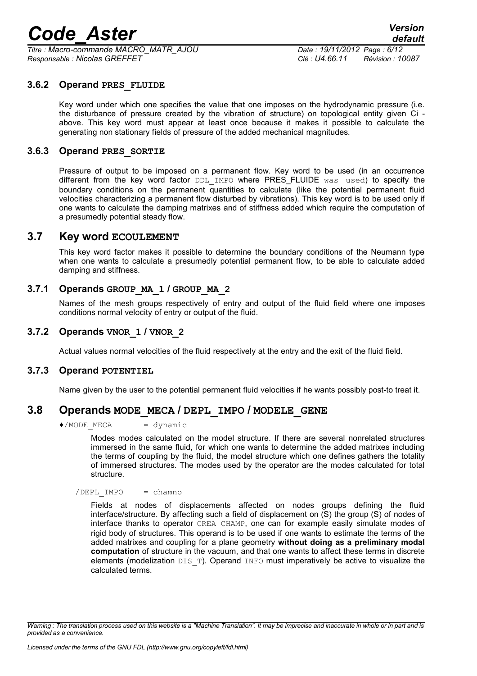*Titre : Macro-commande MACRO\_MATR\_AJOU Date : 19/11/2012 Page : 6/12 Responsable : Nicolas GREFFET Clé : U4.66.11 Révision : 10087*

#### **3.6.2 Operand PRES\_FLUIDE**

Key word under which one specifies the value that one imposes on the hydrodynamic pressure (i.e. the disturbance of pressure created by the vibration of structure) on topological entity given Ci above. This key word must appear at least once because it makes it possible to calculate the generating non stationary fields of pressure of the added mechanical magnitudes.

#### **3.6.3 Operand PRES\_SORTIE**

Pressure of output to be imposed on a permanent flow. Key word to be used (in an occurrence different from the key word factor DDL IMPO where PRES FLUIDE was used) to specify the boundary conditions on the permanent quantities to calculate (like the potential permanent fluid velocities characterizing a permanent flow disturbed by vibrations). This key word is to be used only if one wants to calculate the damping matrixes and of stiffness added which require the computation of a presumedly potential steady flow.

### **3.7 Key word ECOULEMENT**

This key word factor makes it possible to determine the boundary conditions of the Neumann type when one wants to calculate a presumedly potential permanent flow, to be able to calculate added damping and stiffness.

#### **3.7.1 Operands GROUP\_MA\_1 / GROUP\_MA\_2**

Names of the mesh groups respectively of entry and output of the fluid field where one imposes conditions normal velocity of entry or output of the fluid.

#### **3.7.2 Operands VNOR\_1 / VNOR\_2**

Actual values normal velocities of the fluid respectively at the entry and the exit of the fluid field.

#### **3.7.3 Operand POTENTIEL**

Name given by the user to the potential permanent fluid velocities if he wants possibly post-to treat it.

## **3.8 Operands MODE\_MECA / DEPL\_IMPO / MODELE\_GENE**

 $\triangle$ /MODE MECA = dynamic

Modes modes calculated on the model structure. If there are several nonrelated structures immersed in the same fluid, for which one wants to determine the added matrixes including the terms of coupling by the fluid, the model structure which one defines gathers the totality of immersed structures. The modes used by the operator are the modes calculated for total structure.

 $/$ DEPL IMPO = chamno

Fields at nodes of displacements affected on nodes groups defining the fluid interface/structure. By affecting such a field of displacement on (S) the group (S) of nodes of interface thanks to operator CREA\_CHAMP, one can for example easily simulate modes of rigid body of structures. This operand is to be used if one wants to estimate the terms of the added matrixes and coupling for a plane geometry **without doing as a preliminary modal computation** of structure in the vacuum, and that one wants to affect these terms in discrete elements (modelization  $DIS$  T). Operand INFO must imperatively be active to visualize the calculated terms.

*Warning : The translation process used on this website is a "Machine Translation". It may be imprecise and inaccurate in whole or in part and is provided as a convenience.*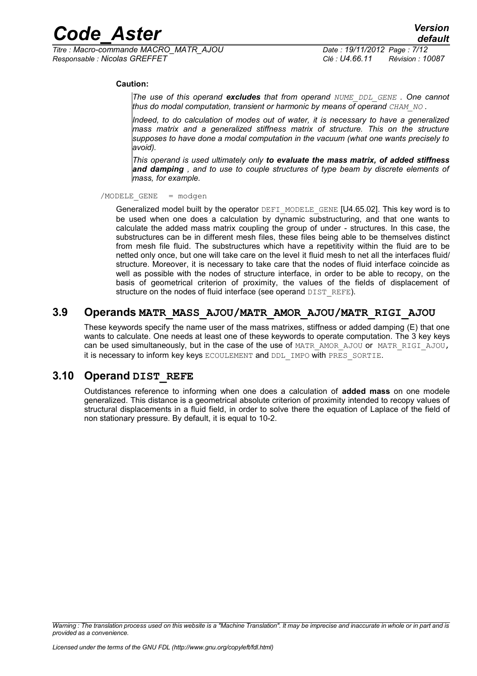*Titre : Macro-commande MACRO\_MATR\_AJOU Date : 19/11/2012 Page : 7/12 Responsable : Nicolas GREFFET Clé : U4.66.11 Révision : 10087*

#### **Caution:**

*The use of this operand excludes that from operand NUME\_DDL\_GENE . One cannot thus do modal computation, transient or harmonic by means of operand CHAM\_NO* **.** 

*Indeed, to do calculation of modes out of water, it is necessary to have a generalized mass matrix and a generalized stiffness matrix of structure. This on the structure supposes to have done a modal computation in the vacuum (what one wants precisely to avoid).*

*This operand is used ultimately only to evaluate the mass matrix, of added stiffness and damping , and to use to couple structures of type beam by discrete elements of mass, for example.*

 $/MODELE$  GENE = modgen

Generalized model built by the operator DEFI\_MODELE\_GENE [U4.65.02]. This key word is to be used when one does a calculation by dynamic substructuring, and that one wants to calculate the added mass matrix coupling the group of under - structures. In this case, the substructures can be in different mesh files, these files being able to be themselves distinct from mesh file fluid. The substructures which have a repetitivity within the fluid are to be netted only once, but one will take care on the level it fluid mesh to net all the interfaces fluid/ structure. Moreover, it is necessary to take care that the nodes of fluid interface coincide as well as possible with the nodes of structure interface, in order to be able to recopy, on the basis of geometrical criterion of proximity, the values of the fields of displacement of structure on the nodes of fluid interface (see operand DIST\_REFE).

# **3.9 Operands MATR\_MASS\_AJOU/MATR\_AMOR\_AJOU/MATR\_RIGI\_AJOU**

These keywords specify the name user of the mass matrixes, stiffness or added damping (E) that one wants to calculate. One needs at least one of these keywords to operate computation. The 3 key keys can be used simultaneously, but in the case of the use of MATR\_AMOR\_AJOU or MATR\_RIGI\_AJOU, it is necessary to inform key keys ECOULEMENT and DDL IMPO with PRES SORTIE.

### **3.10 Operand DIST\_REFE**

Outdistances reference to informing when one does a calculation of **added mass** on one modele generalized. This distance is a geometrical absolute criterion of proximity intended to recopy values of structural displacements in a fluid field, in order to solve there the equation of Laplace of the field of non stationary pressure. By default, it is equal to 10-2.

*Warning : The translation process used on this website is a "Machine Translation". It may be imprecise and inaccurate in whole or in part and is provided as a convenience.*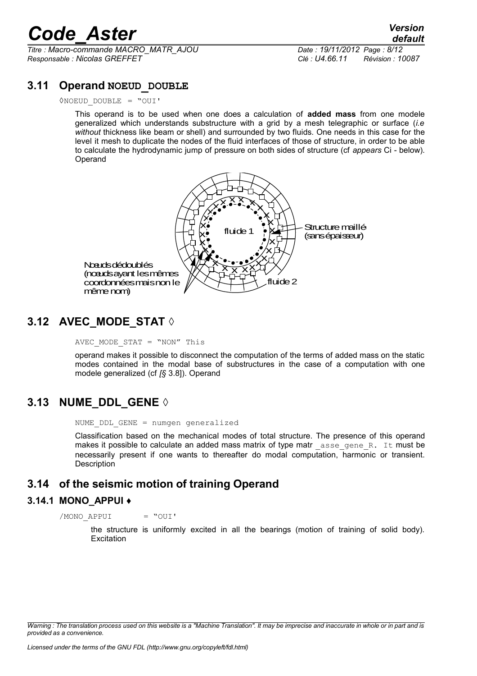*Titre : Macro-commande MACRO\_MATR\_AJOU Date : 19/11/2012 Page : 8/12 Responsable : Nicolas GREFFET Clé : U4.66.11 Révision : 10087*

## **3.11 Operand NOEUD\_DOUBLE**

◊NOEUD\_DOUBLE = "OUI'

This operand is to be used when one does a calculation of **added mass** from one modele generalized which understands substructure with a grid by a mesh telegraphic or surface (*i.e without* thickness like beam or shell) and surrounded by two fluids. One needs in this case for the level it mesh to duplicate the nodes of the fluid interfaces of those of structure, in order to be able to calculate the hydrodynamic jump of pressure on both sides of structure (cf *appears* Ci - below). **Operand** 



# **3.12 AVEC\_MODE\_STAT ◊**

AVEC MODE STAT = "NON" This

operand makes it possible to disconnect the computation of the terms of added mass on the static modes contained in the modal base of substructures in the case of a computation with one modele generalized (cf *[§* 3.8]). Operand

# **3.13 NUME\_DDL\_GENE ◊**

NUME DDL GENE = numgen generalized

Classification based on the mechanical modes of total structure. The presence of this operand makes it possible to calculate an added mass matrix of type matreasse gene R. It must be necessarily present if one wants to thereafter do modal computation, harmonic or transient. **Description** 

# **3.14 of the seismic motion of training Operand**

#### **3.14.1 MONO\_APPUI ♦**

/MONO\_APPUI = "OUI'

the structure is uniformly excited in all the bearings (motion of training of solid body). **Excitation** 

*Warning : The translation process used on this website is a "Machine Translation". It may be imprecise and inaccurate in whole or in part and is provided as a convenience.*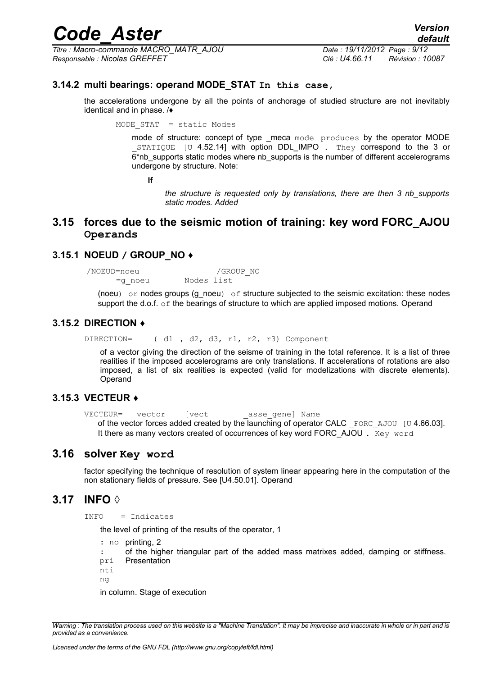*Titre : Macro-commande MACRO\_MATR\_AJOU Date : 19/11/2012 Page : 9/12 Responsable : Nicolas GREFFET Clé : U4.66.11 Révision : 10087*

# *default*

#### **3.14.2 multi bearings: operand MODE\_STAT In this case,**

the accelerations undergone by all the points of anchorage of studied structure are not inevitably identical and in phase. /♦

MODE STAT = static Modes

mode of structure: concept of type meca mode produces by the operator MODE STATIQUE [U 4.52.14] with option DDL IMPO . They correspond to the 3 or 6\*nb\_supports static modes where nb\_supports is the number of different accelerograms undergone by structure. Note:

**If**

*the structure is requested only by translations, there are then 3 nb\_supports static modes. Added*

### **3.15 forces due to the seismic motion of training: key word FORC\_AJOU Operands**

#### **3.15.1 NOEUD / GROUP\_NO ♦**

/NOEUD=noeu /GROUP\_NO =g\_noeu Nodes list

(noeu) or nodes groups  $(g\text{-}noeu)$  of structure subjected to the seismic excitation: these nodes support the d.o.f. of the bearings of structure to which are applied imposed motions. Operand

#### **3.15.2 DIRECTION ♦**

DIRECTION= ( d1 , d2, d3, r1, r2, r3) Component

of a vector giving the direction of the seisme of training in the total reference. It is a list of three realities if the imposed accelerograms are only translations. If accelerations of rotations are also imposed, a list of six realities is expected (valid for modelizations with discrete elements). Operand

#### **3.15.3 VECTEUR ♦**

```
VECTEUR= vector [vect asse gene] Name
   of the vector forces added created by the launching of operator CALC FORC AJOU [U 4.66.03].
   It there as many vectors created of occurrences of key word FORC_AJOU . Key word
```
### **3.16 solver Key word**

factor specifying the technique of resolution of system linear appearing here in the computation of the non stationary fields of pressure. See [U4.50.01]. Operand

## **3.17 INFO ◊**

INFO = Indicates

the level of printing of the results of the operator, 1

: no printing, 2

: pri of the higher triangular part of the added mass matrixes added, damping or stiffness. **Presentation** 

nti

ng

in column. Stage of execution

*Warning : The translation process used on this website is a "Machine Translation". It may be imprecise and inaccurate in whole or in part and is provided as a convenience.*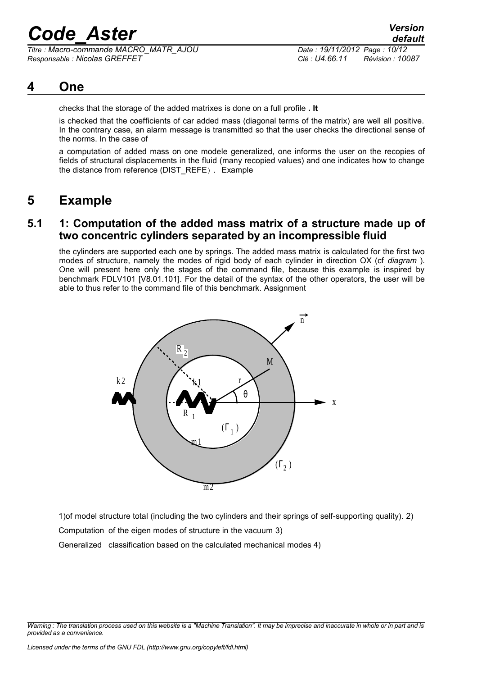*Titre : Macro-commande MACRO\_MATR\_AJOU Date : 19/11/2012 Page : 10/12 Responsable : Nicolas GREFFET Clé : U4.66.11 Révision : 10087*

# **4 One**

checks that the storage of the added matrixes is done on a full profile **. It**

is checked that the coefficients of car added mass (diagonal terms of the matrix) are well all positive. In the contrary case, an alarm message is transmitted so that the user checks the directional sense of the norms. In the case of

a computation of added mass on one modele generalized, one informs the user on the recopies of fields of structural displacements in the fluid (many recopied values) and one indicates how to change the distance from reference (DIST\_REFE). Example

# **5 Example**

## **5.1 1: Computation of the added mass matrix of a structure made up of two concentric cylinders separated by an incompressible fluid**

the cylinders are supported each one by springs. The added mass matrix is calculated for the first two modes of structure, namely the modes of rigid body of each cylinder in direction OX (cf *diagram* ). One will present here only the stages of the command file, because this example is inspired by benchmark FDLV101 [V8.01.101]. For the detail of the syntax of the other operators, the user will be able to thus refer to the command file of this benchmark. Assignment



1)of model structure total (including the two cylinders and their springs of self-supporting quality). 2)

Computation of the eigen modes of structure in the vacuum 3)

Generalized classification based on the calculated mechanical modes 4)

*Warning : The translation process used on this website is a "Machine Translation". It may be imprecise and inaccurate in whole or in part and is provided as a convenience.*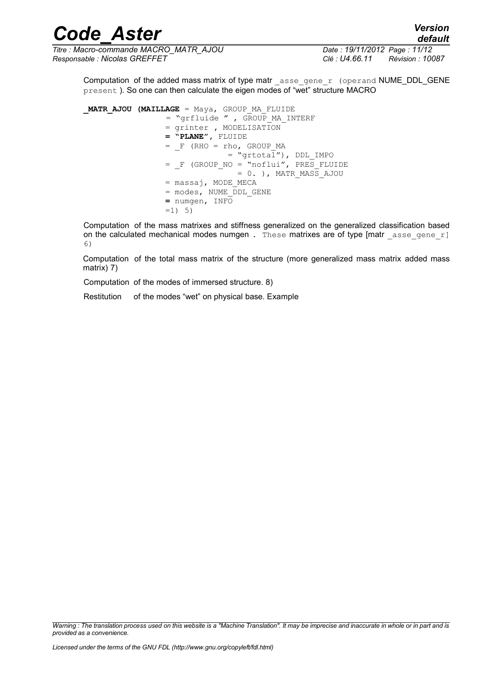*Titre : Macro-commande MACRO\_MATR\_AJOU Date : 19/11/2012 Page : 11/12 Responsable : Nicolas GREFFET Clé : U4.66.11 Révision : 10087*

Computation of the added mass matrix of type matr  $\alpha$  asse gene  $r$  (operand NUME DDL GENE present ). So one can then calculate the eigen modes of "wet" structure MACRO

**\_MATR\_AJOU (MAILLAGE** = Maya, GROUP\_MA\_FLUIDE = "grfluide **"** , GROUP\_MA\_INTERF = grinter **,** MODELISATION  **= "PLANE",** FLUIDE  $=$   $F$  (RHO  $=$  rho, GROUP MA = "grtotal"), DDL\_IMPO  $=$   $F$  (GROUP NO = "noflui", PRES FLUIDE  $= 0.$  ), MATR MASS AJOU = massaj, MODE\_MECA = modes, NUME\_DDL\_GENE  **=** numgen, INFO  $=1$ ) 5)

Computation of the mass matrixes and stiffness generalized on the generalized classification based on the calculated mechanical modes numgen. These matrixes are of type [matr asse gene r] 6)

Computation of the total mass matrix of the structure (more generalized mass matrix added mass matrix) 7)

Computation of the modes of immersed structure. 8)

Restitution of the modes "wet" on physical base. Example

*Warning : The translation process used on this website is a "Machine Translation". It may be imprecise and inaccurate in whole or in part and is provided as a convenience.*